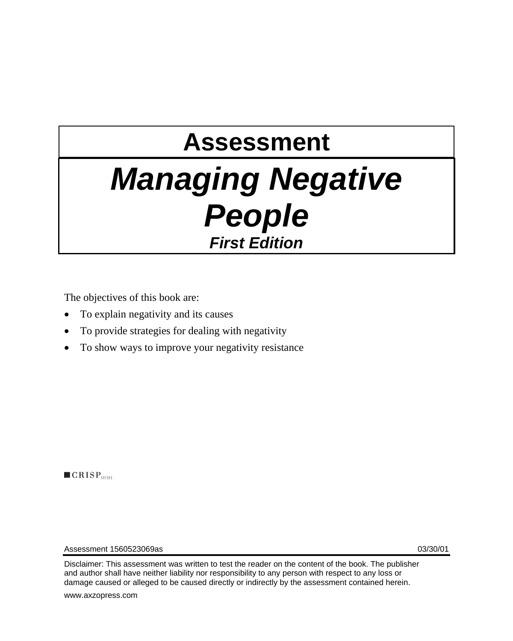# **Assessment**  *Managing Negative People First Edition*

The objectives of this book are:

- To explain negativity and its causes
- To provide strategies for dealing with negativity
- To show ways to improve your negativity resistance

 $\blacksquare$   $CRISP$ <sub>series</sub>

Assessment 1560523069as 03/30/01

Disclaimer: This assessment was written to test the reader on the content of the book. The publisher and author shall have neither liability nor responsibility to any person with respect to any loss or damage caused or alleged to be caused directly or indirectly by the assessment contained herein.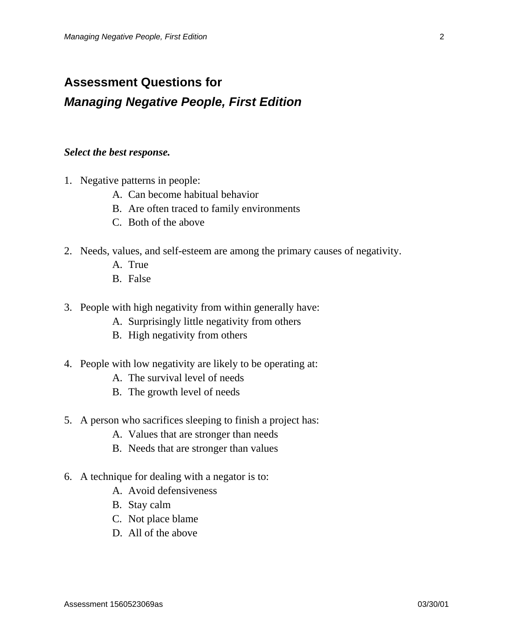### **Assessment Questions for**  *Managing Negative People, First Edition*

#### *Select the best response.*

- 1. Negative patterns in people:
	- A. Can become habitual behavior
	- B. Are often traced to family environments
	- C. Both of the above
- 2. Needs, values, and self-esteem are among the primary causes of negativity.
	- A. True
	- B. False
- 3. People with high negativity from within generally have:
	- A. Surprisingly little negativity from others
	- B. High negativity from others
- 4. People with low negativity are likely to be operating at:
	- A. The survival level of needs
	- B. The growth level of needs
- 5. A person who sacrifices sleeping to finish a project has:
	- A. Values that are stronger than needs
	- B. Needs that are stronger than values
- 6. A technique for dealing with a negator is to:
	- A. Avoid defensiveness
	- B. Stay calm
	- C. Not place blame
	- D. All of the above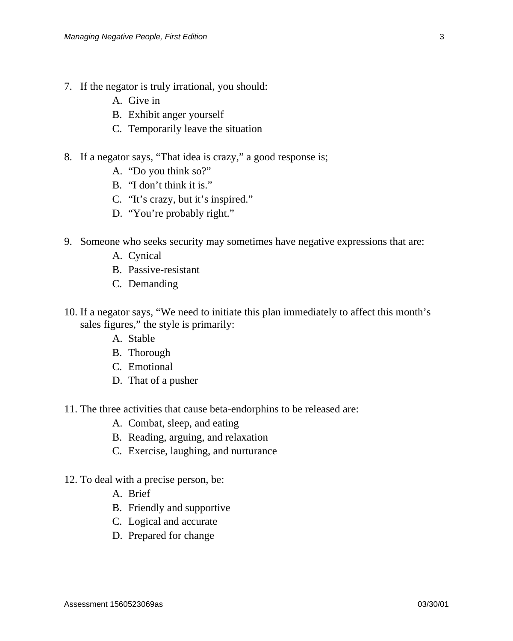- 7. If the negator is truly irrational, you should:
	- A. Give in
	- B. Exhibit anger yourself
	- C. Temporarily leave the situation
- 8. If a negator says, "That idea is crazy," a good response is;
	- A. "Do you think so?"
	- B. "I don't think it is."
	- C. "It's crazy, but it's inspired."
	- D. "You're probably right."
- 9. Someone who seeks security may sometimes have negative expressions that are:
	- A. Cynical
	- B. Passive-resistant
	- C. Demanding
- 10. If a negator says, "We need to initiate this plan immediately to affect this month's sales figures," the style is primarily:
	- A. Stable
	- B. Thorough
	- C. Emotional
	- D. That of a pusher
- 11. The three activities that cause beta-endorphins to be released are:
	- A. Combat, sleep, and eating
	- B. Reading, arguing, and relaxation
	- C. Exercise, laughing, and nurturance
- 12. To deal with a precise person, be:
	- A. Brief
	- B. Friendly and supportive
	- C. Logical and accurate
	- D. Prepared for change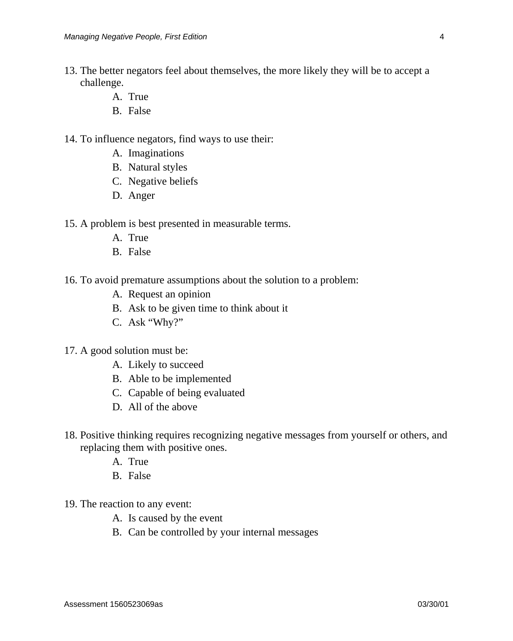- 13. The better negators feel about themselves, the more likely they will be to accept a challenge.
	- A. True
	- B. False
- 14. To influence negators, find ways to use their:
	- A. Imaginations
	- B. Natural styles
	- C. Negative beliefs
	- D. Anger

15. A problem is best presented in measurable terms.

- A. True
- B. False
- 16. To avoid premature assumptions about the solution to a problem:
	- A. Request an opinion
	- B. Ask to be given time to think about it
	- C. Ask "Why?"
- 17. A good solution must be:
	- A. Likely to succeed
	- B. Able to be implemented
	- C. Capable of being evaluated
	- D. All of the above
- 18. Positive thinking requires recognizing negative messages from yourself or others, and replacing them with positive ones.
	- A. True
	- B. False
- 19. The reaction to any event:
	- A. Is caused by the event
	- B. Can be controlled by your internal messages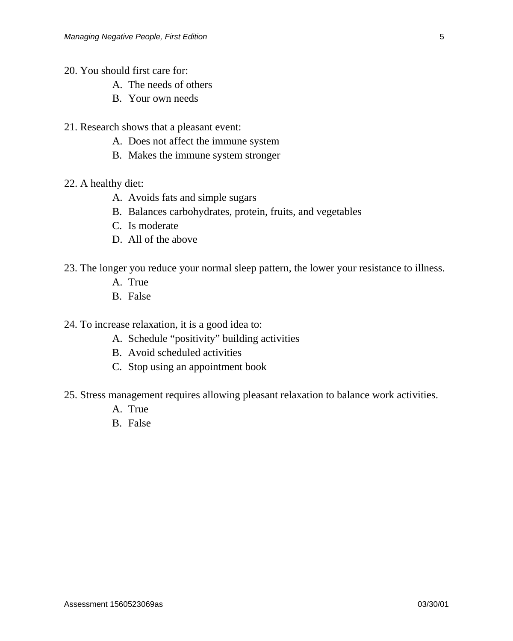- 20. You should first care for:
	- A. The needs of others
	- B. Your own needs
- 21. Research shows that a pleasant event:
	- A. Does not affect the immune system
	- B. Makes the immune system stronger
- 22. A healthy diet:
	- A. Avoids fats and simple sugars
	- B. Balances carbohydrates, protein, fruits, and vegetables
	- C. Is moderate
	- D. All of the above
- 23. The longer you reduce your normal sleep pattern, the lower your resistance to illness.
	- A. True
	- B. False

24. To increase relaxation, it is a good idea to:

- A. Schedule "positivity" building activities
- B. Avoid scheduled activities
- C. Stop using an appointment book
- 25. Stress management requires allowing pleasant relaxation to balance work activities.
	- A. True
	- B. False